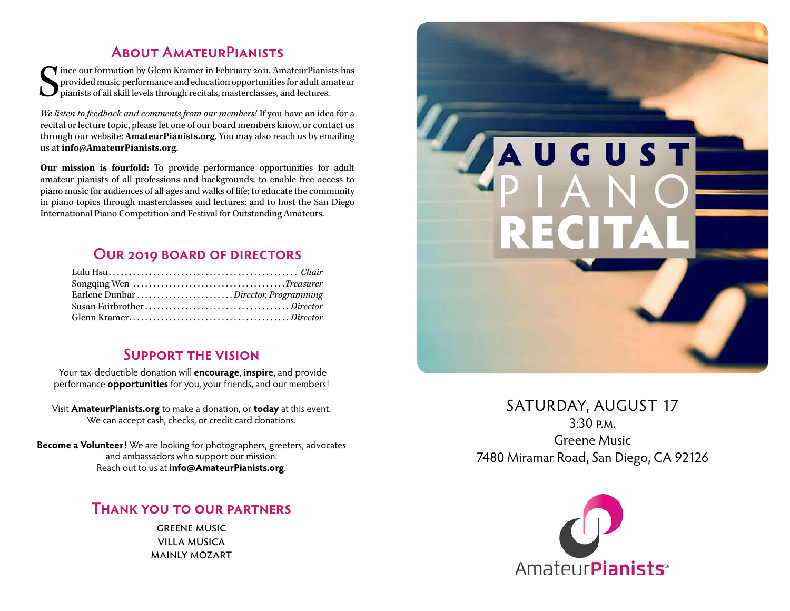# **About AmateurPianists**

 $\begin{cases} \begin{array}{c} \text{ince our formation by Glenn Kramer in February 2011, Amateur-Pianists has provided music performance and education opportunities for adult amateur pianists of all skill levels through recitals, masterclasses, and lectures. \end{array} \end{cases}$ provided music performance and education opportunities for adult amateur pianists of all skill levels through recitals, masterclasses, and lectures.

*We listen to feedback and comments from our members!* If you have an idea for a recital or lecture topic, please let one of our board members know, or contact us through our website: **[AmateurPianists.org](http://AmateurPianists.org)**. You may also reach us by emailing us at **[info@AmateurPianists.org](mailto:info@AmateurPianists.org)**.

**Our mission is fourfold:** To provide performance opportunities for adult amateur pianists of all professions and backgrounds; to enable free access to piano music for audiences of all ages and walks of life; to educate the community in piano topics through masterclasses and lectures; and to host the San Diego International Piano Competition and Festival for Outstanding Amateurs.

# **Our 2019 board of directors**

| Earlene Dunbar Director, Programming |  |
|--------------------------------------|--|
|                                      |  |
|                                      |  |

### **Support the vision**

Your tax-deductible donation will **encourage**, **inspire**, and provide performance **opportunities** for you, your friends, and our members!

Visit **[AmateurPianists.org](http://AmateurPianists.org)** to make a donation, or **today** at this event. We can accept cash, checks, or credit card donations.

**Become a Volunteer!** We are looking for photographers, greeters, advocates and ambassadors who support our mission. Reach out to us at **[info@AmateurPianists.org](mailto:info@AmateurPianists.org)**.

## **Thank you to our partners**

**GREENE MUSIC** villa musica mainly mozart



# SATURDAY, AUGUST 17 3:30 p.m. Greene Music 7480 Miramar Road, San Diego, CA 92126